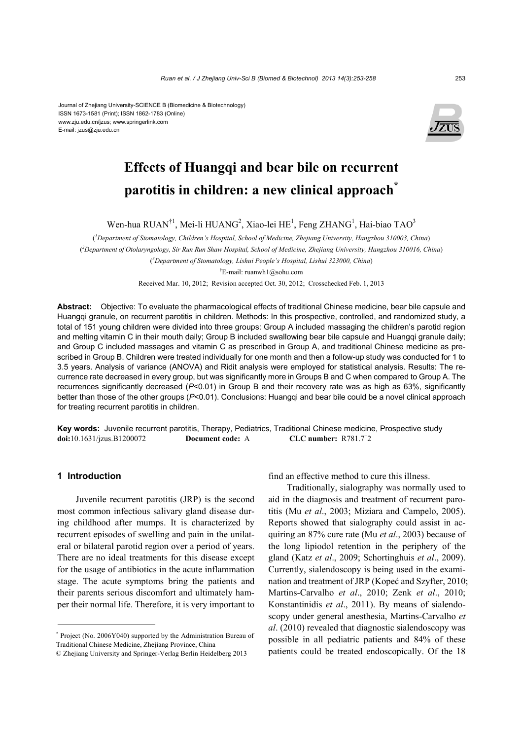Journal of Zhejiang University-SCIENCE B (Biomedicine & Biotechnology) ISSN 1673-1581 (Print); ISSN 1862-1783 (Online) www.zju.edu.cn/jzus; www.springerlink.com E-mail: jzus@zju.edu.cn



# **Effects of Huangqi and bear bile on recurrent parotitis in children: a new clinical approach\***

Wen-hua RUAN<sup>†1</sup>, Mei-li HUANG<sup>2</sup>, Xiao-lei HE<sup>1</sup>, Feng ZHANG<sup>1</sup>, Hai-biao TAO<sup>3</sup>

( *1 Department of Stomatology, Children's Hospital, School of Medicine, Zhejiang University, Hangzhou 310003, China*) ( *2 Department of Otolaryngology, Sir Run Run Shaw Hospital, School of Medicine, Zhejiang University, Hangzhou 310016, China*) ( *3 Department of Stomatology, Lishui People's Hospital, Lishui 323000, China*) † E-mail: ruanwh1@sohu.com

Received Mar. 10, 2012; Revision accepted Oct. 30, 2012; Crosschecked Feb. 1, 2013

**Abstract:** Objective: To evaluate the pharmacological effects of traditional Chinese medicine, bear bile capsule and Huangqi granule, on recurrent parotitis in children. Methods: In this prospective, controlled, and randomized study, a total of 151 young children were divided into three groups: Group A included massaging the children's parotid region and melting vitamin C in their mouth daily; Group B included swallowing bear bile capsule and Huangqi granule daily; and Group C included massages and vitamin C as prescribed in Group A, and traditional Chinese medicine as prescribed in Group B. Children were treated individually for one month and then a follow-up study was conducted for 1 to 3.5 years. Analysis of variance (ANOVA) and Ridit analysis were employed for statistical analysis. Results: The recurrence rate decreased in every group, but was significantly more in Groups B and C when compared to Group A. The recurrences significantly decreased (*P*<0.01) in Group B and their recovery rate was as high as 63%, significantly better than those of the other groups (*P*<0.01). Conclusions: Huangqi and bear bile could be a novel clinical approach for treating recurrent parotitis in children.

**Key words:** Juvenile recurrent parotitis, Therapy, Pediatrics, Traditional Chinese medicine, Prospective study **doi:**10.1631/jzus.B1200072 **Document code:** A CLC number:  $R781.7^+2$ 

## **1 Introduction**

Juvenile recurrent parotitis (JRP) is the second most common infectious salivary gland disease during childhood after mumps. It is characterized by recurrent episodes of swelling and pain in the unilateral or bilateral parotid region over a period of years. There are no ideal treatments for this disease except for the usage of antibiotics in the acute inflammation stage. The acute symptoms bring the patients and their parents serious discomfort and ultimately hamper their normal life. Therefore, it is very important to

find an effective method to cure this illness.

Traditionally, sialography was normally used to aid in the diagnosis and treatment of recurrent parotitis (Mu *et al*., 2003; Miziara and Campelo, 2005). Reports showed that sialography could assist in acquiring an 87% cure rate (Mu *et al*., 2003) because of the long lipiodol retention in the periphery of the gland (Katz *et al*., 2009; Schortinghuis *et al*., 2009). Currently, sialendoscopy is being used in the examination and treatment of JRP (Kopeć and Szyfter, 2010; Martins-Carvalho *et al*., 2010; Zenk *et al*., 2010; Konstantinidis *et al*., 2011). By means of sialendoscopy under general anesthesia, Martins-Carvalho *et al*. (2010) revealed that diagnostic sialendoscopy was possible in all pediatric patients and 84% of these patients could be treated endoscopically. Of the 18

<sup>\*</sup> Project (No. 2006Y040) supported by the Administration Bureau of Traditional Chinese Medicine, Zhejiang Province, China

<sup>©</sup> Zhejiang University and Springer-Verlag Berlin Heidelberg 2013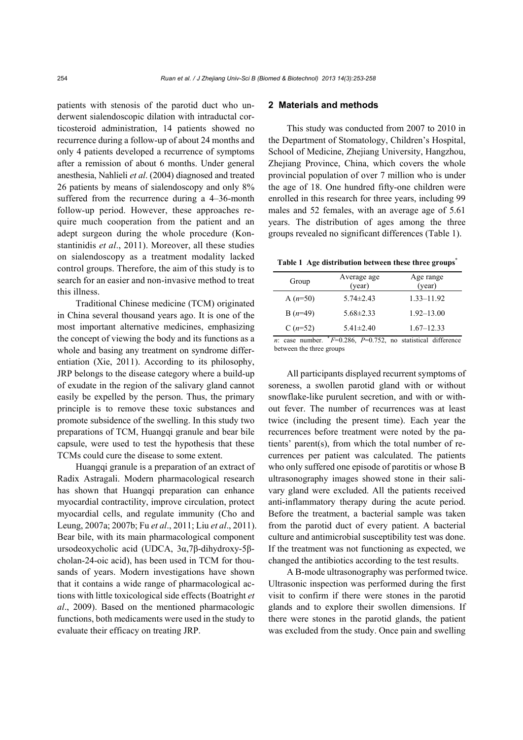patients with stenosis of the parotid duct who underwent sialendoscopic dilation with intraductal corticosteroid administration, 14 patients showed no recurrence during a follow-up of about 24 months and only 4 patients developed a recurrence of symptoms after a remission of about 6 months. Under general anesthesia, Nahlieli *et al*. (2004) diagnosed and treated 26 patients by means of sialendoscopy and only 8% suffered from the recurrence during a 4–36-month follow-up period. However, these approaches require much cooperation from the patient and an adept surgeon during the whole procedure (Konstantinidis *et al*., 2011). Moreover, all these studies on sialendoscopy as a treatment modality lacked control groups. Therefore, the aim of this study is to search for an easier and non-invasive method to treat this illness.

Traditional Chinese medicine (TCM) originated in China several thousand years ago. It is one of the most important alternative medicines, emphasizing the concept of viewing the body and its functions as a whole and basing any treatment on syndrome differentiation (Xie, 2011). According to its philosophy, JRP belongs to the disease category where a build-up of exudate in the region of the salivary gland cannot easily be expelled by the person. Thus, the primary principle is to remove these toxic substances and promote subsidence of the swelling. In this study two preparations of TCM, Huangqi granule and bear bile capsule, were used to test the hypothesis that these TCMs could cure the disease to some extent.

Huangqi granule is a preparation of an extract of Radix Astragali. Modern pharmacological research has shown that Huangqi preparation can enhance myocardial contractility, improve circulation, protect myocardial cells, and regulate immunity (Cho and Leung, 2007a; 2007b; Fu *et al*., 2011; Liu *et al*., 2011). Bear bile, with its main pharmacological component ursodeoxycholic acid (UDCA, 3α,7β-dihydroxy-5βcholan-24-oic acid), has been used in TCM for thousands of years. Modern investigations have shown that it contains a wide range of pharmacological actions with little toxicological side effects (Boatright *et al*., 2009). Based on the mentioned pharmacologic functions, both medicaments were used in the study to evaluate their efficacy on treating JRP.

#### **2 Materials and methods**

This study was conducted from 2007 to 2010 in the Department of Stomatology, Children's Hospital, School of Medicine, Zhejiang University, Hangzhou, Zhejiang Province, China, which covers the whole provincial population of over 7 million who is under the age of 18. One hundred fifty-one children were enrolled in this research for three years, including 99 males and 52 females, with an average age of 5.61 years. The distribution of ages among the three groups revealed no significant differences (Table 1).

**Table 1 Age distribution between these three groups\***

| Group      | Average age<br>(year) | Age range<br>(year) |  |
|------------|-----------------------|---------------------|--|
| A $(n=50)$ | $5.74 \pm 2.43$       | $1.33 - 11.92$      |  |
| $B(n=49)$  | $5.68 \pm 2.33$       | $1.92 - 13.00$      |  |
| C $(n=52)$ | $5.41 \pm 2.40$       | $1.67 - 12.33$      |  |
|            |                       |                     |  |

*n*: case number.  $*F=0.286$ ,  $P=0.752$ , no statistical difference between the three groups

All participants displayed recurrent symptoms of soreness, a swollen parotid gland with or without snowflake-like purulent secretion, and with or without fever. The number of recurrences was at least twice (including the present time). Each year the recurrences before treatment were noted by the patients' parent(s), from which the total number of recurrences per patient was calculated. The patients who only suffered one episode of parotitis or whose B ultrasonography images showed stone in their salivary gland were excluded. All the patients received anti-inflammatory therapy during the acute period. Before the treatment, a bacterial sample was taken from the parotid duct of every patient. A bacterial culture and antimicrobial susceptibility test was done. If the treatment was not functioning as expected, we changed the antibiotics according to the test results.

A B-mode ultrasonography was performed twice. Ultrasonic inspection was performed during the first visit to confirm if there were stones in the parotid glands and to explore their swollen dimensions. If there were stones in the parotid glands, the patient was excluded from the study. Once pain and swelling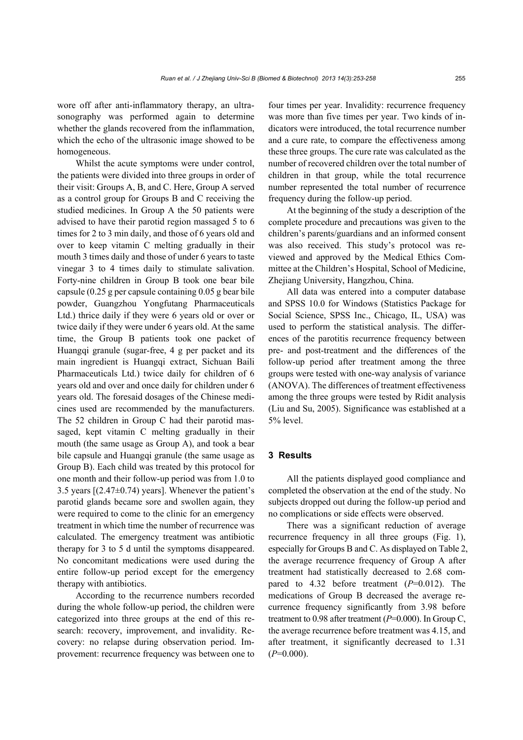wore off after anti-inflammatory therapy, an ultrasonography was performed again to determine whether the glands recovered from the inflammation, which the echo of the ultrasonic image showed to be homogeneous.

Whilst the acute symptoms were under control, the patients were divided into three groups in order of their visit: Groups A, B, and C. Here, Group A served as a control group for Groups B and C receiving the studied medicines. In Group A the 50 patients were advised to have their parotid region massaged 5 to 6 times for 2 to 3 min daily, and those of 6 years old and over to keep vitamin C melting gradually in their mouth 3 times daily and those of under 6 years to taste vinegar 3 to 4 times daily to stimulate salivation. Forty-nine children in Group B took one bear bile capsule (0.25 g per capsule containing 0.05 g bear bile powder, Guangzhou Yongfutang Pharmaceuticals Ltd.) thrice daily if they were 6 years old or over or twice daily if they were under 6 years old. At the same time, the Group B patients took one packet of Huangqi granule (sugar-free, 4 g per packet and its main ingredient is Huangqi extract, Sichuan Baili Pharmaceuticals Ltd.) twice daily for children of 6 years old and over and once daily for children under 6 years old. The foresaid dosages of the Chinese medicines used are recommended by the manufacturers. The 52 children in Group C had their parotid massaged, kept vitamin C melting gradually in their mouth (the same usage as Group A), and took a bear bile capsule and Huangqi granule (the same usage as Group B). Each child was treated by this protocol for one month and their follow-up period was from 1.0 to 3.5 years  $[(2.47\pm0.74)$  years]. Whenever the patient's parotid glands became sore and swollen again, they were required to come to the clinic for an emergency treatment in which time the number of recurrence was calculated. The emergency treatment was antibiotic therapy for 3 to 5 d until the symptoms disappeared. No concomitant medications were used during the entire follow-up period except for the emergency therapy with antibiotics.

According to the recurrence numbers recorded during the whole follow-up period, the children were categorized into three groups at the end of this research: recovery, improvement, and invalidity. Recovery: no relapse during observation period. Improvement: recurrence frequency was between one to four times per year. Invalidity: recurrence frequency was more than five times per year. Two kinds of indicators were introduced, the total recurrence number and a cure rate, to compare the effectiveness among these three groups. The cure rate was calculated as the number of recovered children over the total number of children in that group, while the total recurrence number represented the total number of recurrence frequency during the follow-up period.

At the beginning of the study a description of the complete procedure and precautions was given to the children's parents/guardians and an informed consent was also received. This study's protocol was reviewed and approved by the Medical Ethics Committee at the Children's Hospital, School of Medicine, Zhejiang University, Hangzhou, China.

All data was entered into a computer database and SPSS 10.0 for Windows (Statistics Package for Social Science, SPSS Inc., Chicago, IL, USA) was used to perform the statistical analysis. The differences of the parotitis recurrence frequency between pre- and post-treatment and the differences of the follow-up period after treatment among the three groups were tested with one-way analysis of variance (ANOVA). The differences of treatment effectiveness among the three groups were tested by Ridit analysis (Liu and Su, 2005). Significance was established at a 5% level.

### **3 Results**

All the patients displayed good compliance and completed the observation at the end of the study. No subjects dropped out during the follow-up period and no complications or side effects were observed.

There was a significant reduction of average recurrence frequency in all three groups (Fig. 1), especially for Groups B and C. As displayed on Table 2, the average recurrence frequency of Group A after treatment had statistically decreased to 2.68 compared to 4.32 before treatment (*P*=0.012). The medications of Group B decreased the average recurrence frequency significantly from 3.98 before treatment to 0.98 after treatment (*P*=0.000). In Group C, the average recurrence before treatment was 4.15, and after treatment, it significantly decreased to 1.31  $(P=0.000)$ .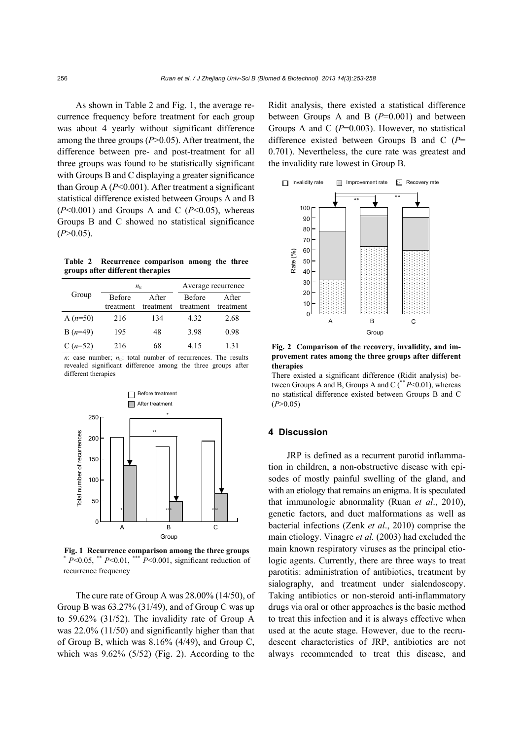As shown in Table 2 and Fig. 1, the average recurrence frequency before treatment for each group was about 4 yearly without significant difference among the three groups (*P*>0.05). After treatment, the difference between pre- and post-treatment for all three groups was found to be statistically significant with Groups B and C displaying a greater significance than Group A (*P*<0.001). After treatment a significant statistical difference existed between Groups A and B  $(P<0.001)$  and Groups A and C  $(P<0.05)$ , whereas Groups B and C showed no statistical significance  $(P>0.05)$ .

**Table 2 Recurrence comparison among the three groups after different therapies** 

| Group      | $n_{\rm tr}$ |           | Average recurrence |           |
|------------|--------------|-----------|--------------------|-----------|
|            | Before       | After     | <b>Before</b>      | After     |
|            | treatment    | treatment | treatment          | treatment |
| A $(n=50)$ | 216          | 134       | 4.32               | 2.68      |
| $B(n=49)$  | 195          | 48        | 3.98               | 0.98      |
| C $(n=52)$ | 216          | 68        | 4.15               | 131       |

*n*: case number;  $n_{tr}$ : total number of recurrences. The results revealed significant difference among the three groups after different therapies



**Fig. 1 Recurrence comparison among the three groups**  $P<0.05$ , \*\*  $P<0.01$ , \*\*\*  $P<0.001$ , significant reduction of recurrence frequency

The cure rate of Group A was 28.00% (14/50), of Group B was  $63.27\%$  (31/49), and of Group C was up to 59.62% (31/52). The invalidity rate of Group A was 22.0% (11/50) and significantly higher than that of Group B, which was 8.16% (4/49), and Group C, which was  $9.62\%$  (5/52) (Fig. 2). According to the

Ridit analysis, there existed a statistical difference between Groups A and B (*P*=0.001) and between Groups A and C (*P*=0.003). However, no statistical difference existed between Groups B and C (*P*= 0.701). Nevertheless, the cure rate was greatest and the invalidity rate lowest in Group B.



**Fig. 2 Comparison of the recovery, invalidity, and improvement rates among the three groups after different therapies** 

There existed a significant difference (Ridit analysis) between Groups A and B, Groups A and C  $\binom{**}{+}P<0.01$ , whereas no statistical difference existed between Groups B and C  $(P>0.05)$ 

## **4 Discussion**

JRP is defined as a recurrent parotid inflammation in children, a non-obstructive disease with episodes of mostly painful swelling of the gland, and with an etiology that remains an enigma. It is speculated that immunologic abnormality (Ruan *et al*., 2010), genetic factors, and duct malformations as well as bacterial infections (Zenk *et al*., 2010) comprise the main etiology. Vinagre *et al.* (2003) had excluded the main known respiratory viruses as the principal etiologic agents. Currently, there are three ways to treat parotitis: administration of antibiotics, treatment by sialography, and treatment under sialendoscopy. Taking antibiotics or non-steroid anti-inflammatory drugs via oral or other approaches is the basic method to treat this infection and it is always effective when used at the acute stage. However, due to the recrudescent characteristics of JRP, antibiotics are not always recommended to treat this disease, and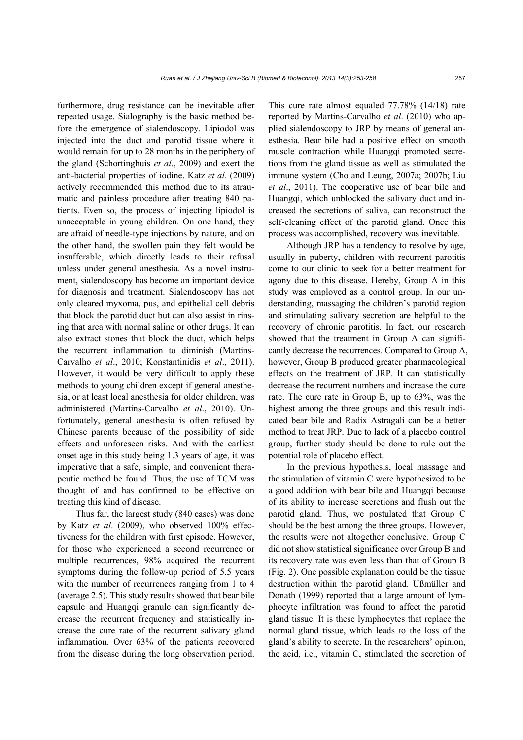furthermore, drug resistance can be inevitable after repeated usage. Sialography is the basic method before the emergence of sialendoscopy. Lipiodol was injected into the duct and parotid tissue where it would remain for up to 28 months in the periphery of the gland (Schortinghuis *et al*., 2009) and exert the anti-bacterial properties of iodine. Katz *et al*. (2009) actively recommended this method due to its atraumatic and painless procedure after treating 840 patients. Even so, the process of injecting lipiodol is unacceptable in young children. On one hand, they are afraid of needle-type injections by nature, and on the other hand, the swollen pain they felt would be insufferable, which directly leads to their refusal unless under general anesthesia. As a novel instrument, sialendoscopy has become an important device for diagnosis and treatment. Sialendoscopy has not only cleared myxoma, pus, and epithelial cell debris that block the parotid duct but can also assist in rinsing that area with normal saline or other drugs. It can also extract stones that block the duct, which helps the recurrent inflammation to diminish (Martins-Carvalho *et al*., 2010; Konstantinidis *et al*., 2011). However, it would be very difficult to apply these methods to young children except if general anesthesia, or at least local anesthesia for older children, was administered (Martins-Carvalho *et al*., 2010). Unfortunately, general anesthesia is often refused by Chinese parents because of the possibility of side effects and unforeseen risks. And with the earliest onset age in this study being 1.3 years of age, it was imperative that a safe, simple, and convenient therapeutic method be found. Thus, the use of TCM was thought of and has confirmed to be effective on treating this kind of disease.

Thus far, the largest study (840 cases) was done by Katz *et al*. (2009), who observed 100% effectiveness for the children with first episode. However, for those who experienced a second recurrence or multiple recurrences, 98% acquired the recurrent symptoms during the follow-up period of 5.5 years with the number of recurrences ranging from 1 to 4 (average 2.5). This study results showed that bear bile capsule and Huangqi granule can significantly decrease the recurrent frequency and statistically increase the cure rate of the recurrent salivary gland inflammation. Over 63% of the patients recovered from the disease during the long observation period. This cure rate almost equaled 77.78% (14/18) rate reported by Martins-Carvalho *et al*. (2010) who applied sialendoscopy to JRP by means of general anesthesia. Bear bile had a positive effect on smooth muscle contraction while Huangqi promoted secretions from the gland tissue as well as stimulated the immune system (Cho and Leung, 2007a; 2007b; Liu *et al*., 2011). The cooperative use of bear bile and Huangqi, which unblocked the salivary duct and increased the secretions of saliva, can reconstruct the self-cleaning effect of the parotid gland. Once this process was accomplished, recovery was inevitable.

Although JRP has a tendency to resolve by age, usually in puberty, children with recurrent parotitis come to our clinic to seek for a better treatment for agony due to this disease. Hereby, Group A in this study was employed as a control group. In our understanding, massaging the children's parotid region and stimulating salivary secretion are helpful to the recovery of chronic parotitis. In fact, our research showed that the treatment in Group A can significantly decrease the recurrences. Compared to Group A, however, Group B produced greater pharmacological effects on the treatment of JRP. It can statistically decrease the recurrent numbers and increase the cure rate. The cure rate in Group B, up to 63%, was the highest among the three groups and this result indicated bear bile and Radix Astragali can be a better method to treat JRP. Due to lack of a placebo control group, further study should be done to rule out the potential role of placebo effect.

In the previous hypothesis, local massage and the stimulation of vitamin C were hypothesized to be a good addition with bear bile and Huangqi because of its ability to increase secretions and flush out the parotid gland. Thus, we postulated that Group C should be the best among the three groups. However, the results were not altogether conclusive. Group C did not show statistical significance over Group B and its recovery rate was even less than that of Group B (Fig. 2). One possible explanation could be the tissue destruction within the parotid gland. Ußmüller and Donath (1999) reported that a large amount of lymphocyte infiltration was found to affect the parotid gland tissue. It is these lymphocytes that replace the normal gland tissue, which leads to the loss of the gland's ability to secrete. In the researchers' opinion, the acid, i.e., vitamin C, stimulated the secretion of